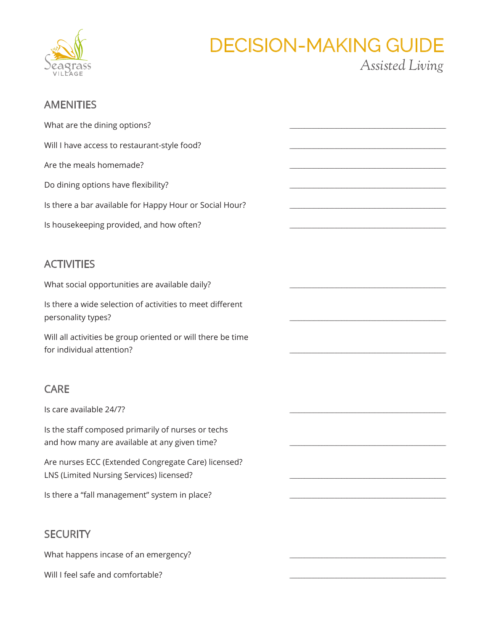

## **DECISION-MAKING GUIDE** Assisted Living

### **AMENITIES**

| What are the dining options?                                                                        |  |
|-----------------------------------------------------------------------------------------------------|--|
| Will I have access to restaurant-style food?                                                        |  |
| Are the meals homemade?                                                                             |  |
| Do dining options have flexibility?                                                                 |  |
| Is there a bar available for Happy Hour or Social Hour?                                             |  |
| Is housekeeping provided, and how often?                                                            |  |
|                                                                                                     |  |
| <b>ACTIVITIES</b>                                                                                   |  |
| What social opportunities are available daily?                                                      |  |
| Is there a wide selection of activities to meet different<br>personality types?                     |  |
| Will all activities be group oriented or will there be time<br>for individual attention?            |  |
|                                                                                                     |  |
| <b>CARE</b>                                                                                         |  |
| Is care available 24/7?                                                                             |  |
| Is the staff composed primarily of nurses or techs<br>and how many are available at any given time? |  |

Are nurses ECC (Extended Congregate Care) licensed? LNS (Limited Nursing Services) licensed?

Is there a "fall management" system in place?

#### **SECURITY**

What happens incase of an emergency?

Will I feel safe and comfortable?